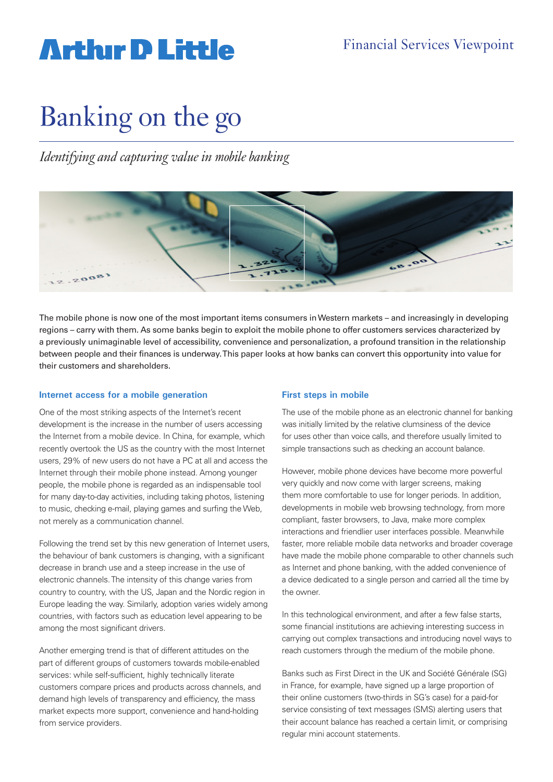# **Arthur D Little**

# Banking on the go

*Identifying and capturing value in mobile banking*



The mobile phone is now one of the most important items consumers in Western markets – and increasingly in developing regions – carry with them. As some banks begin to exploit the mobile phone to offer customers services characterized by a previously unimaginable level of accessibility, convenience and personalization, a profound transition in the relationship between people and their finances is underway. This paper looks at how banks can convert this opportunity into value for their customers and shareholders.

#### **Internet access for a mobile generation**

One of the most striking aspects of the Internet's recent development is the increase in the number of users accessing the Internet from a mobile device. In China, for example, which recently overtook the US as the country with the most Internet users, 29% of new users do not have a PC at all and access the Internet through their mobile phone instead. Among younger people, the mobile phone is regarded as an indispensable tool for many day-to-day activities, including taking photos, listening to music, checking e-mail, playing games and surfing the Web, not merely as a communication channel.

Following the trend set by this new generation of Internet users, the behaviour of bank customers is changing, with a significant decrease in branch use and a steep increase in the use of electronic channels. The intensity of this change varies from country to country, with the US, Japan and the Nordic region in Europe leading the way. Similarly, adoption varies widely among countries, with factors such as education level appearing to be among the most significant drivers.

Another emerging trend is that of different attitudes on the part of different groups of customers towards mobile-enabled services: while self-sufficient, highly technically literate customers compare prices and products across channels, and demand high levels of transparency and efficiency, the mass market expects more support, convenience and hand-holding from service providers.

#### **First steps in mobile**

The use of the mobile phone as an electronic channel for banking was initially limited by the relative clumsiness of the device for uses other than voice calls, and therefore usually limited to simple transactions such as checking an account balance.

However, mobile phone devices have become more powerful very quickly and now come with larger screens, making them more comfortable to use for longer periods. In addition, developments in mobile web browsing technology, from more compliant, faster browsers, to Java, make more complex interactions and friendlier user interfaces possible. Meanwhile faster, more reliable mobile data networks and broader coverage have made the mobile phone comparable to other channels such as Internet and phone banking, with the added convenience of a device dedicated to a single person and carried all the time by the owner.

In this technological environment, and after a few false starts, some financial institutions are achieving interesting success in carrying out complex transactions and introducing novel ways to reach customers through the medium of the mobile phone.

Banks such as First Direct in the UK and Société Générale (SG) in France, for example, have signed up a large proportion of their online customers (two-thirds in SG's case) for a paid-for service consisting of text messages (SMS) alerting users that their account balance has reached a certain limit, or comprising regular mini account statements.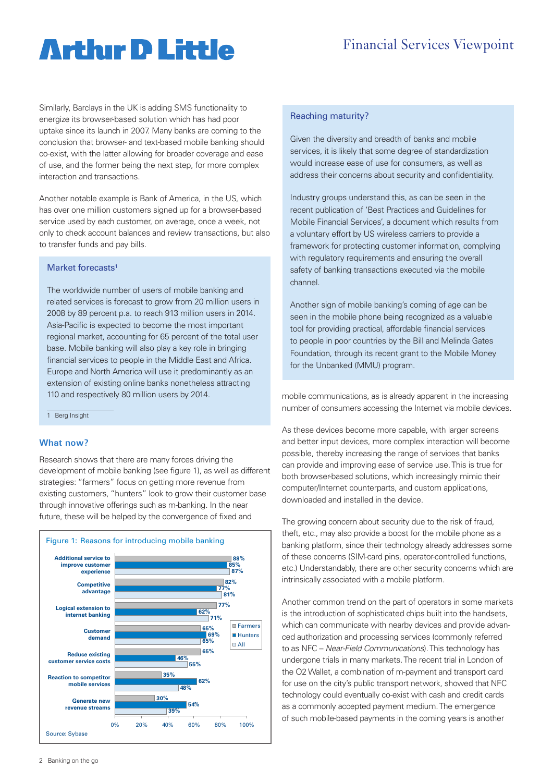### Financial Services Viewpoint

# **Artlur D Little**

Similarly, Barclays in the UK is adding SMS functionality to energize its browser-based solution which has had poor uptake since its launch in 2007. Many banks are coming to the conclusion that browser- and text-based mobile banking should co-exist, with the latter allowing for broader coverage and ease of use, and the former being the next step, for more complex interaction and transactions.

Another notable example is Bank of America, in the US, which has over one million customers signed up for a browser-based service used by each customer, on average, once a week, not only to check account balances and review transactions, but also to transfer funds and pay bills.

#### Market forecasts<sup>1</sup>

The worldwide number of users of mobile banking and related services is forecast to grow from 20 million users in 2008 by 89 percent p.a. to reach 913 million users in 2014. Asia-Pacific is expected to become the most important regional market, accounting for 65 percent of the total user base. Mobile banking will also play a key role in bringing financial services to people in the Middle East and Africa. Europe and North America will use it predominantly as an extension of existing online banks nonetheless attracting 110 and respectively 80 million users by 2014.

1 Berg Insight

#### **What now?**

Research shows that there are many forces driving the development of mobile banking (see figure 1), as well as different strategies: "farmers" focus on getting more revenue from existing customers, "hunters" look to grow their customer base through innovative offerings such as m-banking. In the near future, these will be helped by the convergence of fixed and



#### Reaching maturity?

Given the diversity and breadth of banks and mobile services, it is likely that some degree of standardization would increase ease of use for consumers, as well as address their concerns about security and confidentiality.

Industry groups understand this, as can be seen in the recent publication of 'Best Practices and Guidelines for Mobile Financial Services', a document which results from a voluntary effort by US wireless carriers to provide a framework for protecting customer information, complying with regulatory requirements and ensuring the overall safety of banking transactions executed via the mobile channel.

Another sign of mobile banking's coming of age can be seen in the mobile phone being recognized as a valuable tool for providing practical, affordable financial services to people in poor countries by the Bill and Melinda Gates Foundation, through its recent grant to the Mobile Money for the Unbanked (MMU) program.

mobile communications, as is already apparent in the increasing number of consumers accessing the Internet via mobile devices.

As these devices become more capable, with larger screens and better input devices, more complex interaction will become possible, thereby increasing the range of services that banks can provide and improving ease of service use. This is true for both browser-based solutions, which increasingly mimic their computer/Internet counterparts, and custom applications, downloaded and installed in the device.

The growing concern about security due to the risk of fraud, theft, etc., may also provide a boost for the mobile phone as a banking platform, since their technology already addresses some of these concerns (SIM-card pins, operator-controlled functions, etc.) Understandably, there are other security concerns which are intrinsically associated with a mobile platform.

Another common trend on the part of operators in some markets is the introduction of sophisticated chips built into the handsets, which can communicate with nearby devices and provide advanced authorization and processing services (commonly referred to as NFC – Near-Field Communications). This technology has undergone trials in many markets. The recent trial in London of the O2 Wallet, a combination of m-payment and transport card for use on the city's public transport network, showed that NFC technology could eventually co-exist with cash and credit cards as a commonly accepted payment medium. The emergence of such mobile-based payments in the coming years is another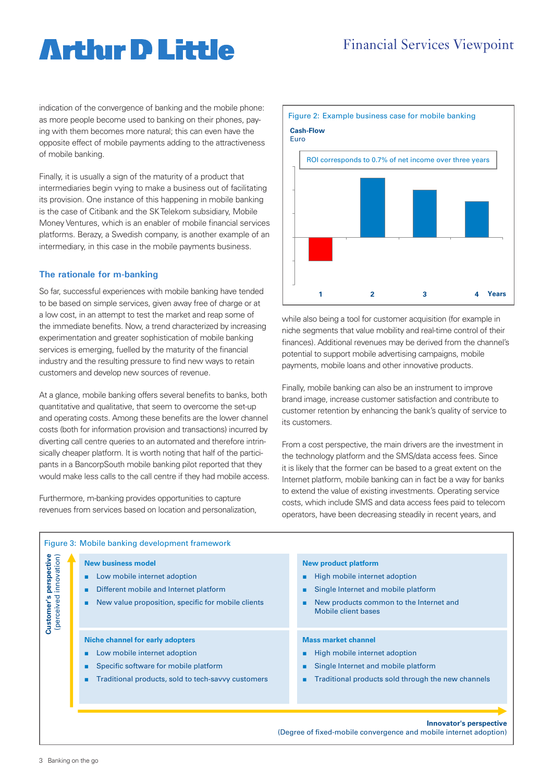# **Arthır D Little**

indication of the convergence of banking and the mobile phone: as more people become used to banking on their phones, paying with them becomes more natural; this can even have the opposite effect of mobile payments adding to the attractiveness of mobile banking.

Finally, it is usually a sign of the maturity of a product that intermediaries begin vying to make a business out of facilitating its provision. One instance of this happening in mobile banking is the case of Citibank and the SK Telekom subsidiary, Mobile Money Ventures, which is an enabler of mobile financial services platforms. Berazy, a Swedish company, is another example of an intermediary, in this case in the mobile payments business.

#### **The rationale for m-banking**

So far, successful experiences with mobile banking have tended to be based on simple services, given away free of charge or at a low cost, in an attempt to test the market and reap some of the immediate benefits. Now, a trend characterized by increasing experimentation and greater sophistication of mobile banking services is emerging, fuelled by the maturity of the financial industry and the resulting pressure to find new ways to retain customers and develop new sources of revenue.

At a glance, mobile banking offers several benefits to banks, both quantitative and qualitative, that seem to overcome the set-up and operating costs. Among these benefits are the lower channel costs (both for information provision and transactions) incurred by diverting call centre queries to an automated and therefore intrinsically cheaper platform. It is worth noting that half of the participants in a BancorpSouth mobile banking pilot reported that they would make less calls to the call centre if they had mobile access.

Furthermore, m-banking provides opportunities to capture revenues from services based on location and personalization,



while also being a tool for customer acquisition (for example in niche segments that value mobility and real-time control of their finances). Additional revenues may be derived from the channel's potential to support mobile advertising campaigns, mobile payments, mobile loans and other innovative products.

Finally, mobile banking can also be an instrument to improve brand image, increase customer satisfaction and contribute to customer retention by enhancing the bank's quality of service to its customers.

From a cost perspective, the main drivers are the investment in the technology platform and the SMS/data access fees. Since it is likely that the former can be based to a great extent on the Internet platform, mobile banking can in fact be a way for banks to extend the value of existing investments. Operating service costs, which include SMS and data access fees paid to telecom operators, have been decreasing steadily in recent years, and

| perspective<br>innovation)<br>(perceived<br>Customer | <b>New business model</b><br>Low mobile internet adoption<br>۰.<br>Different mobile and Internet platform<br>٠<br>New value proposition, specific for mobile clients<br>٠      | <b>New product platform</b><br>High mobile internet adoption<br>٠<br>Single Internet and mobile platform<br>٠<br>New products common to the Internet and<br>٠<br>Mobile client bases |
|------------------------------------------------------|--------------------------------------------------------------------------------------------------------------------------------------------------------------------------------|--------------------------------------------------------------------------------------------------------------------------------------------------------------------------------------|
|                                                      | Niche channel for early adopters<br>Low mobile internet adoption<br>٠<br>Specific software for mobile platform<br>٠<br>Traditional products, sold to tech-savvy customers<br>٠ | <b>Mass market channel</b><br>High mobile internet adoption<br>٠<br>Single Internet and mobile platform<br>٠<br>Traditional products sold through the new channels<br>٠              |

**Innovator's perspective** 

(Degree of fixed-mobile convergence and mobile internet adoption)